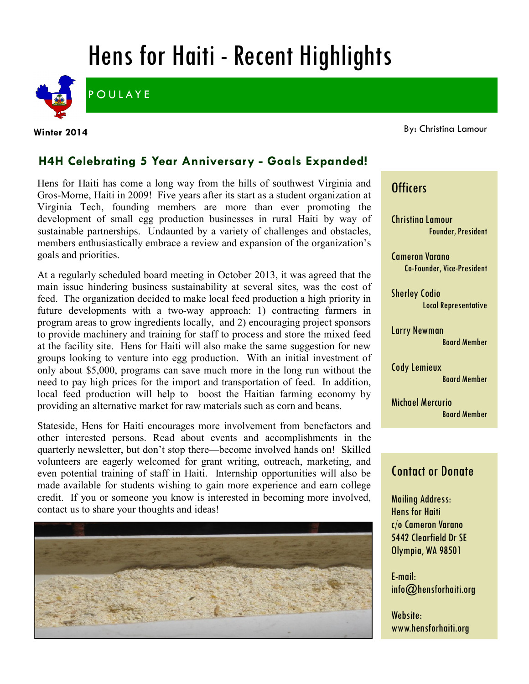# Hens for Haiti - Recent Highlights



**POULAYE** 

**Winter 2014**

#### By: Christina Lamour

## **H4H Celebrating 5 Year Anniversary - Goals Expanded!**

Hens for Haiti has come a long way from the hills of southwest Virginia and Gros-Morne, Haiti in 2009! Five years after its start as a student organization at Virginia Tech, founding members are more than ever promoting the development of small egg production businesses in rural Haiti by way of sustainable partnerships. Undaunted by a variety of challenges and obstacles, members enthusiastically embrace a review and expansion of the organization's goals and priorities.

At a regularly scheduled board meeting in October 2013, it was agreed that the main issue hindering business sustainability at several sites, was the cost of feed. The organization decided to make local feed production a high priority in future developments with a two-way approach: 1) contracting farmers in program areas to grow ingredients locally, and 2) encouraging project sponsors to provide machinery and training for staff to process and store the mixed feed at the facility site. Hens for Haiti will also make the same suggestion for new groups looking to venture into egg production. With an initial investment of only about \$5,000, programs can save much more in the long run without the need to pay high prices for the import and transportation of feed. In addition, local feed production will help to boost the Haitian farming economy by providing an alternative market for raw materials such as corn and beans.

Stateside, Hens for Haiti encourages more involvement from benefactors and other interested persons. Read about events and accomplishments in the quarterly newsletter, but don't stop there—become involved hands on! Skilled volunteers are eagerly welcomed for grant writing, outreach, marketing, and even potential training of staff in Haiti. Internship opportunities will also be made available for students wishing to gain more experience and earn college credit. If you or someone you know is interested in becoming more involved, contact us to share your thoughts and ideas!



## **Officers**

Christina Lamour Founder, President

Cameron Varano Co-Founder, Vice-President

Sherley Codio Local Representative

Larry Newman Board Member

Cody Lemieux Board Member

Michael Mercurio Board Member

## Contact or Donate

Mailing Address: Hens for Haiti c/o Cameron Varano 5442 Clearfield Dr SE Olympia, WA 98501

E-mail: info@hensforhaiti.org

Website: www.hensforhaiti.org